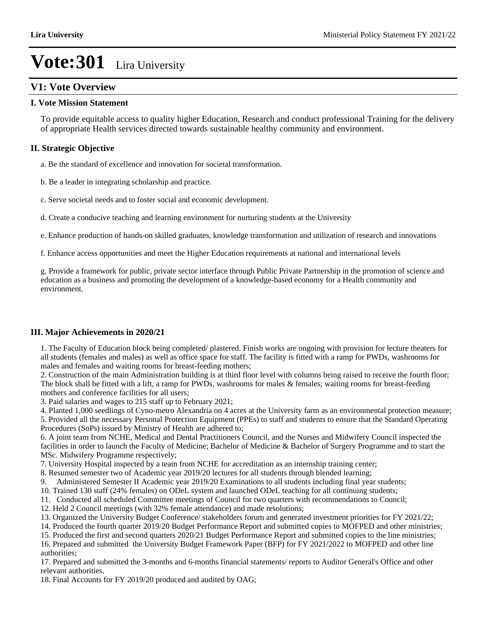## **V1: Vote Overview**

### **I. Vote Mission Statement**

To provide equitable access to quality higher Education, Research and conduct professional Training for the delivery of appropriate Health services directed towards sustainable healthy community and environment.

### **II. Strategic Objective**

a. Be the standard of excellence and innovation for societal transformation.

b. Be a leader in integrating scholarship and practice.

c. Serve societal needs and to foster social and economic development.

d. Create a conducive teaching and learning environment for nurturing students at the University

e. Enhance production of hands-on skilled graduates, knowledge transformation and utilization of research and innovations

f. Enhance access opportunities and meet the Higher Education requirements at national and international levels

g. Provide a framework for public, private sector interface through Public Private Partnership in the promotion of science and education as a business and promoting the development of a knowledge-based economy for a Health community and environment.

### **III. Major Achievements in 2020/21**

1. The Faculty of Education block being completed/ plastered. Finish works are ongoing with provision for lecture theaters for all students (females and males) as well as office space for staff. The facility is fitted with a ramp for PWDs, washrooms for males and females and waiting rooms for breast-feeding mothers;

2. Construction of the main Administration building is at third floor level with columns being raised to receive the fourth floor; The block shall be fitted with a lift, a ramp for PWDs, washrooms for males & females; waiting rooms for breast-feeding mothers and conference facilities for all users;

3. Paid salaries and wages to 215 staff up to February 2021;

4. Planted 1,000 seedlings of Cyno-metro Alexandria on 4 acres at the University farm as an environmental protection measure;

5. Provided all the necessary Personal Protection Equipment (PPEs) to staff and students to ensure that the Standard Operating Procedures (SoPs) issued by Ministry of Health are adhered to;

6. A joint team from NCHE, Medical and Dental Practitioners Council, and the Nurses and Midwifery Council inspected the facilities in order to launch the Faculty of Medicine; Bachelor of Medicine & Bachelor of Surgery Programme and to start the MSc. Midwifery Programme respectively;

7. University Hospital inspected by a team from NCHE for accreditation as an internship training center;

8. Resumed semester two of Academic year 2019/20 lectures for all students through blended learning;

9. Administered Semester II Academic year 2019/20 Examinations to all students including final year students;

10. Trained 130 staff (24% females) on ODeL system and launched ODeL teaching for all continuing students;

11. Conducted all scheduled Committee meetings of Council for two quarters with recommendations to Council;

- 12. Held 2 Council meetings (with 32% female attendance) and made resolutions;
- 13. Organized the University Budget Conference/ stakeholders forum and generated investment priorities for FY 2021/22;

14. Produced the fourth quarter 2019/20 Budget Performance Report and submitted copies to MOFPED and other ministries;

15. Produced the first and second quarters 2020/21 Budget Performance Report and submitted copies to the line ministries; 16. Prepared and submitted the University Budget Framework Paper (BFP) for FY 2021/2022 to MOFPED and other line authorities;

17. Prepared and submitted the 3-months and 6-months financial statements/ reports to Auditor General's Office and other relevant authorities.

18. Final Accounts for FY 2019/20 produced and audited by OAG;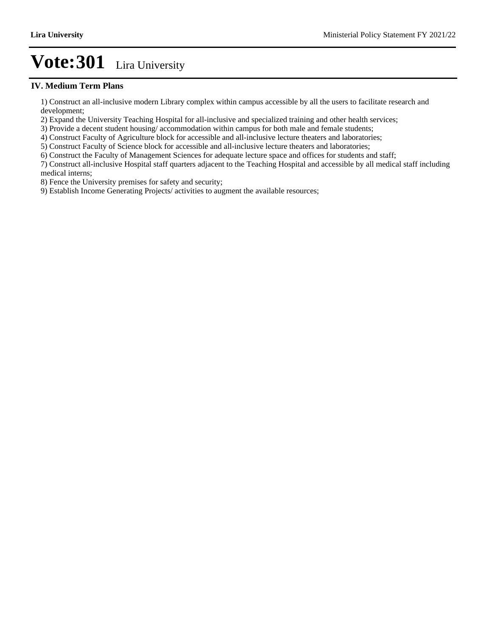#### **IV. Medium Term Plans**

1) Construct an all-inclusive modern Library complex within campus accessible by all the users to facilitate research and development;

2) Expand the University Teaching Hospital for all-inclusive and specialized training and other health services;

3) Provide a decent student housing/ accommodation within campus for both male and female students;

4) Construct Faculty of Agriculture block for accessible and all-inclusive lecture theaters and laboratories;

5) Construct Faculty of Science block for accessible and all-inclusive lecture theaters and laboratories;

6) Construct the Faculty of Management Sciences for adequate lecture space and offices for students and staff;

7) Construct all-inclusive Hospital staff quarters adjacent to the Teaching Hospital and accessible by all medical staff including medical interns;

8) Fence the University premises for safety and security;

9) Establish Income Generating Projects/ activities to augment the available resources;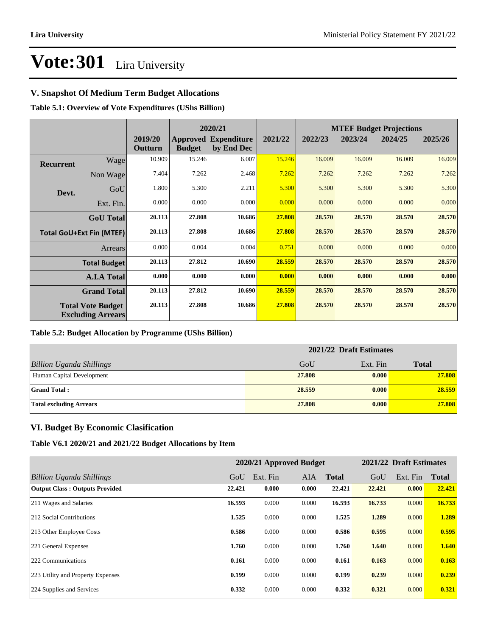### **V. Snapshot Of Medium Term Budget Allocations**

**Table 5.1: Overview of Vote Expenditures (UShs Billion)**

|                  |                                                      |                    | 2020/21       |                                           |         | <b>MTEF Budget Projections</b> |         |         |         |
|------------------|------------------------------------------------------|--------------------|---------------|-------------------------------------------|---------|--------------------------------|---------|---------|---------|
|                  |                                                      | 2019/20<br>Outturn | <b>Budget</b> | <b>Approved Expenditure</b><br>by End Dec | 2021/22 | 2022/23                        | 2023/24 | 2024/25 | 2025/26 |
| <b>Recurrent</b> | Wage                                                 | 10.909             | 15.246        | 6.007                                     | 15.246  | 16.009                         | 16.009  | 16.009  | 16.009  |
|                  | Non Wage                                             | 7.404              | 7.262         | 2.468                                     | 7.262   | 7.262                          | 7.262   | 7.262   | 7.262   |
| Devt.            | GoU                                                  | 1.800              | 5.300         | 2.211                                     | 5.300   | 5.300                          | 5.300   | 5.300   | 5.300   |
|                  | Ext. Fin.                                            | 0.000              | 0.000         | 0.000                                     | 0.000   | 0.000                          | 0.000   | 0.000   | 0.000   |
|                  | <b>GoU</b> Total                                     | 20.113             | 27.808        | 10.686                                    | 27.808  | 28.570                         | 28.570  | 28.570  | 28.570  |
|                  | <b>Total GoU+Ext Fin (MTEF)</b>                      | 20.113             | 27.808        | 10.686                                    | 27.808  | 28.570                         | 28.570  | 28.570  | 28.570  |
|                  | <b>Arrears</b>                                       | 0.000              | 0.004         | 0.004                                     | 0.751   | 0.000                          | 0.000   | 0.000   | 0.000   |
|                  | <b>Total Budget</b>                                  | 20.113             | 27.812        | 10.690                                    | 28.559  | 28.570                         | 28.570  | 28.570  | 28.570  |
|                  | <b>A.I.A Total</b>                                   | 0.000              | 0.000         | 0.000                                     | 0.000   | 0.000                          | 0.000   | 0.000   | 0.000   |
|                  | <b>Grand Total</b>                                   | 20.113             | 27.812        | 10.690                                    | 28.559  | 28.570                         | 28.570  | 28.570  | 28.570  |
|                  | <b>Total Vote Budget</b><br><b>Excluding Arrears</b> | 20.113             | 27.808        | 10.686                                    | 27.808  | 28.570                         | 28.570  | 28.570  | 28.570  |

### **Table 5.2: Budget Allocation by Programme (UShs Billion)**

|                                 | 2021/22 Draft Estimates |          |              |  |  |
|---------------------------------|-------------------------|----------|--------------|--|--|
| <b>Billion Uganda Shillings</b> | GoU                     | Ext. Fin | <b>Total</b> |  |  |
| Human Capital Development       | 27.808                  | 0.000    | 27.808       |  |  |
| <b>Grand Total:</b>             | 28.559                  | 0.000    | 28.559       |  |  |
| <b>Total excluding Arrears</b>  | 27,808                  | 0.000    | 27.808       |  |  |

### **VI. Budget By Economic Clasification**

**Table V6.1 2020/21 and 2021/22 Budget Allocations by Item**

|                                       |        | 2020/21 Approved Budget |            |              |        | 2021/22 Draft Estimates |              |
|---------------------------------------|--------|-------------------------|------------|--------------|--------|-------------------------|--------------|
| Billion Uganda Shillings              | GoU    | Ext. Fin                | <b>AIA</b> | <b>Total</b> | GoU    | Ext. Fin                | <b>Total</b> |
| <b>Output Class: Outputs Provided</b> | 22.421 | 0.000                   | 0.000      | 22.421       | 22.421 | 0.000                   | 22.421       |
| 211 Wages and Salaries                | 16.593 | 0.000                   | 0.000      | 16.593       | 16.733 | 0.000                   | 16.733       |
| 212 Social Contributions              | 1.525  | 0.000                   | 0.000      | 1.525        | 1.289  | 0.000                   | 1.289        |
| 213 Other Employee Costs              | 0.586  | 0.000                   | 0.000      | 0.586        | 0.595  | 0.000                   | 0.595        |
| 221 General Expenses                  | 1.760  | 0.000                   | 0.000      | 1.760        | 1.640  | 0.000                   | 1.640        |
| 222 Communications                    | 0.161  | 0.000                   | 0.000      | 0.161        | 0.163  | 0.000                   | 0.163        |
| 223 Utility and Property Expenses     | 0.199  | 0.000                   | 0.000      | 0.199        | 0.239  | 0.000                   | 0.239        |
| 224 Supplies and Services             | 0.332  | 0.000                   | 0.000      | 0.332        | 0.321  | 0.000                   | 0.321        |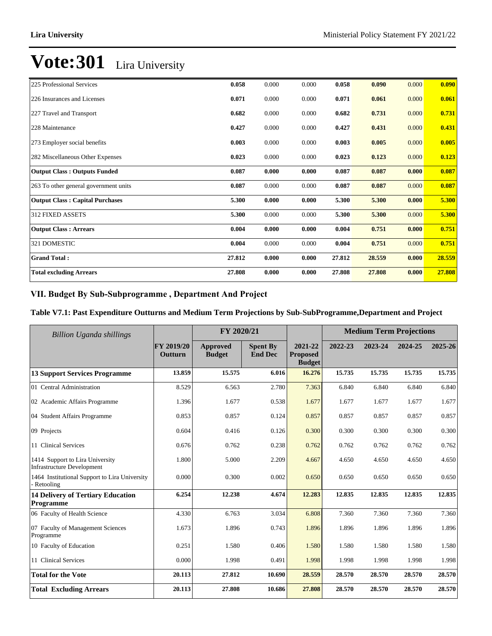| 225 Professional Services              | 0.058  | 0.000 | 0.000 | 0.058  | 0.090  | 0.000 | 0.090  |
|----------------------------------------|--------|-------|-------|--------|--------|-------|--------|
| 226 Insurances and Licenses            | 0.071  | 0.000 | 0.000 | 0.071  | 0.061  | 0.000 | 0.061  |
| 227 Travel and Transport               | 0.682  | 0.000 | 0.000 | 0.682  | 0.731  | 0.000 | 0.731  |
| 228 Maintenance                        | 0.427  | 0.000 | 0.000 | 0.427  | 0.431  | 0.000 | 0.431  |
| 273 Employer social benefits           | 0.003  | 0.000 | 0.000 | 0.003  | 0.005  | 0.000 | 0.005  |
| 282 Miscellaneous Other Expenses       | 0.023  | 0.000 | 0.000 | 0.023  | 0.123  | 0.000 | 0.123  |
| <b>Output Class: Outputs Funded</b>    | 0.087  | 0.000 | 0.000 | 0.087  | 0.087  | 0.000 | 0.087  |
| 263 To other general government units  | 0.087  | 0.000 | 0.000 | 0.087  | 0.087  | 0.000 | 0.087  |
| <b>Output Class: Capital Purchases</b> | 5.300  | 0.000 | 0.000 | 5.300  | 5.300  | 0.000 | 5.300  |
| 312 FIXED ASSETS                       | 5.300  | 0.000 | 0.000 | 5.300  | 5.300  | 0.000 | 5.300  |
| <b>Output Class: Arrears</b>           | 0.004  | 0.000 | 0.000 | 0.004  | 0.751  | 0.000 | 0.751  |
| 321 DOMESTIC                           | 0.004  | 0.000 | 0.000 | 0.004  | 0.751  | 0.000 | 0.751  |
| <b>Grand Total:</b>                    | 27.812 | 0.000 | 0.000 | 27.812 | 28.559 | 0.000 | 28.559 |
| <b>Total excluding Arrears</b>         | 27.808 | 0.000 | 0.000 | 27.808 | 27.808 | 0.000 | 27.808 |

## VII. Budget By Sub-Subprogramme, Department And Project

### **Table V7.1: Past Expenditure Outturns and Medium Term Projections by Sub-SubProgramme,Department and Project**

| Billion Uganda shillings                                             |                       | FY 2020/21                |                                   |                                             | <b>Medium Term Projections</b> |         |         |         |
|----------------------------------------------------------------------|-----------------------|---------------------------|-----------------------------------|---------------------------------------------|--------------------------------|---------|---------|---------|
|                                                                      | FY 2019/20<br>Outturn | Approved<br><b>Budget</b> | <b>Spent By</b><br><b>End Dec</b> | 2021-22<br><b>Proposed</b><br><b>Budget</b> | 2022-23                        | 2023-24 | 2024-25 | 2025-26 |
| <b>13 Support Services Programme</b>                                 | 13.859                | 15.575                    | 6.016                             | 16.276                                      | 15.735                         | 15.735  | 15.735  | 15.735  |
| 01 Central Administration                                            | 8.529                 | 6.563                     | 2.780                             | 7.363                                       | 6.840                          | 6.840   | 6.840   | 6.840   |
| 02 Academic Affairs Programme                                        | 1.396                 | 1.677                     | 0.538                             | 1.677                                       | 1.677                          | 1.677   | 1.677   | 1.677   |
| 04 Student Affairs Programme                                         | 0.853                 | 0.857                     | 0.124                             | 0.857                                       | 0.857                          | 0.857   | 0.857   | 0.857   |
| 09 Projects                                                          | 0.604                 | 0.416                     | 0.126                             | 0.300                                       | 0.300                          | 0.300   | 0.300   | 0.300   |
| 11 Clinical Services                                                 | 0.676                 | 0.762                     | 0.238                             | 0.762                                       | 0.762                          | 0.762   | 0.762   | 0.762   |
| 1414 Support to Lira University<br><b>Infrastructure Development</b> | 1.800                 | 5.000                     | 2.209                             | 4.667                                       | 4.650                          | 4.650   | 4.650   | 4.650   |
| 1464 Institutional Support to Lira University<br>- Retooling         | 0.000                 | 0.300                     | 0.002                             | 0.650                                       | 0.650                          | 0.650   | 0.650   | 0.650   |
| <b>14 Delivery of Tertiary Education</b><br>Programme                | 6.254                 | 12.238                    | 4.674                             | 12.283                                      | 12.835                         | 12.835  | 12.835  | 12.835  |
| 06 Faculty of Health Science                                         | 4.330                 | 6.763                     | 3.034                             | 6.808                                       | 7.360                          | 7.360   | 7.360   | 7.360   |
| 07 Faculty of Management Sciences<br>Programme                       | 1.673                 | 1.896                     | 0.743                             | 1.896                                       | 1.896                          | 1.896   | 1.896   | 1.896   |
| 10 Faculty of Education                                              | 0.251                 | 1.580                     | 0.406                             | 1.580                                       | 1.580                          | 1.580   | 1.580   | 1.580   |
| 11 Clinical Services                                                 | 0.000                 | 1.998                     | 0.491                             | 1.998                                       | 1.998                          | 1.998   | 1.998   | 1.998   |
| <b>Total for the Vote</b>                                            | 20.113                | 27.812                    | 10.690                            | 28.559                                      | 28.570                         | 28.570  | 28.570  | 28.570  |
| <b>Total Excluding Arrears</b>                                       | 20.113                | 27.808                    | 10.686                            | 27.808                                      | 28.570                         | 28.570  | 28.570  | 28.570  |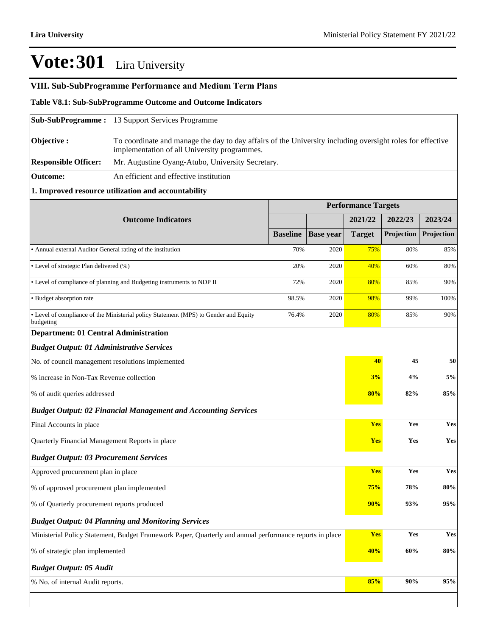## **VIII. Sub-SubProgramme Performance and Medium Term Plans**

#### **Table V8.1: Sub-SubProgramme Outcome and Outcome Indicators**

|                                                                                                         | <b>Sub-SubProgramme:</b> 13 Support Services Programme                                                                                                    |                 |                  |                            |            |            |  |  |  |
|---------------------------------------------------------------------------------------------------------|-----------------------------------------------------------------------------------------------------------------------------------------------------------|-----------------|------------------|----------------------------|------------|------------|--|--|--|
| Objective:                                                                                              | To coordinate and manage the day to day affairs of the University including oversight roles for effective<br>implementation of all University programmes. |                 |                  |                            |            |            |  |  |  |
| <b>Responsible Officer:</b>                                                                             | Mr. Augustine Oyang-Atubo, University Secretary.                                                                                                          |                 |                  |                            |            |            |  |  |  |
| <b>Outcome:</b>                                                                                         | An efficient and effective institution                                                                                                                    |                 |                  |                            |            |            |  |  |  |
|                                                                                                         | 1. Improved resource utilization and accountability                                                                                                       |                 |                  |                            |            |            |  |  |  |
|                                                                                                         |                                                                                                                                                           |                 |                  | <b>Performance Targets</b> |            |            |  |  |  |
|                                                                                                         | <b>Outcome Indicators</b>                                                                                                                                 |                 |                  | 2021/22                    | 2022/23    | 2023/24    |  |  |  |
|                                                                                                         |                                                                                                                                                           | <b>Baseline</b> | <b>Base year</b> | <b>Target</b>              | Projection | Projection |  |  |  |
| • Annual external Auditor General rating of the institution                                             |                                                                                                                                                           | 70%             | 2020             | <b>75%</b>                 | 80%        | 85%        |  |  |  |
| • Level of strategic Plan delivered (%)                                                                 |                                                                                                                                                           | 20%             | 2020             | 40%                        | 60%        | 80%        |  |  |  |
|                                                                                                         | • Level of compliance of planning and Budgeting instruments to NDP II                                                                                     | 72%             | 2020             | 80%                        | 85%        | 90%        |  |  |  |
| • Budget absorption rate                                                                                |                                                                                                                                                           | 98.5%           | 2020             | 98%                        | 99%        | 100%       |  |  |  |
| budgeting                                                                                               | • Level of compliance of the Ministerial policy Statement (MPS) to Gender and Equity                                                                      | 76.4%           | 2020             | 80%                        | 85%        | 90%        |  |  |  |
| <b>Department: 01 Central Administration</b>                                                            |                                                                                                                                                           |                 |                  |                            |            |            |  |  |  |
| <b>Budget Output: 01 Administrative Services</b>                                                        |                                                                                                                                                           |                 |                  |                            |            |            |  |  |  |
| No. of council management resolutions implemented                                                       |                                                                                                                                                           |                 |                  | 40                         | 45         | 50         |  |  |  |
| % increase in Non-Tax Revenue collection                                                                |                                                                                                                                                           |                 |                  | 3%                         | 4%         | 5%         |  |  |  |
| % of audit queries addressed                                                                            |                                                                                                                                                           |                 |                  | 80%                        | 82%        | 85%        |  |  |  |
|                                                                                                         | <b>Budget Output: 02 Financial Management and Accounting Services</b>                                                                                     |                 |                  |                            |            |            |  |  |  |
| Final Accounts in place                                                                                 |                                                                                                                                                           |                 |                  | <b>Yes</b>                 | Yes        | Yes        |  |  |  |
| Quarterly Financial Management Reports in place                                                         |                                                                                                                                                           |                 |                  | <b>Yes</b>                 | Yes        | Yes        |  |  |  |
| <b>Budget Output: 03 Procurement Services</b>                                                           |                                                                                                                                                           |                 |                  |                            |            |            |  |  |  |
| Approved procurement plan in place                                                                      |                                                                                                                                                           |                 |                  | <b>Yes</b>                 | Yes        | Yes        |  |  |  |
| % of approved procurement plan implemented                                                              |                                                                                                                                                           |                 |                  | 75%                        | 78%        | 80%        |  |  |  |
| % of Quarterly procurement reports produced                                                             |                                                                                                                                                           | 90%             | 93%              | 95%                        |            |            |  |  |  |
|                                                                                                         | <b>Budget Output: 04 Planning and Monitoring Services</b>                                                                                                 |                 |                  |                            |            |            |  |  |  |
| Ministerial Policy Statement, Budget Framework Paper, Quarterly and annual performance reports in place |                                                                                                                                                           | Yes             | Yes              | Yes                        |            |            |  |  |  |
| % of strategic plan implemented                                                                         |                                                                                                                                                           | 40%             | 60%              | $80\%$                     |            |            |  |  |  |
| <b>Budget Output: 05 Audit</b>                                                                          |                                                                                                                                                           |                 |                  |                            |            |            |  |  |  |
| % No. of internal Audit reports.                                                                        |                                                                                                                                                           |                 |                  | 85%                        | 90%        | 95%        |  |  |  |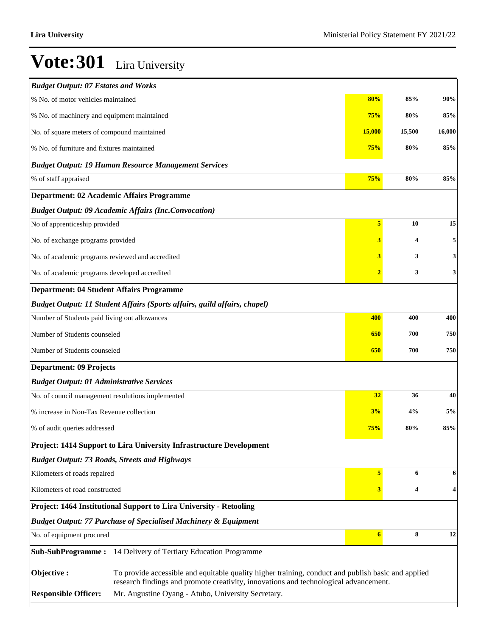| <b>Budget Output: 07 Estates and Works</b>        |                                                                                                                                                                                            |                         |        |        |
|---------------------------------------------------|--------------------------------------------------------------------------------------------------------------------------------------------------------------------------------------------|-------------------------|--------|--------|
| % No. of motor vehicles maintained                |                                                                                                                                                                                            | 80%                     | 85%    | 90%    |
| % No. of machinery and equipment maintained       |                                                                                                                                                                                            | 75%                     | 80%    | 85%    |
| No. of square meters of compound maintained       |                                                                                                                                                                                            | <b>15,000</b>           | 15,500 | 16,000 |
| % No. of furniture and fixtures maintained        |                                                                                                                                                                                            | 75%                     | 80%    | 85%    |
|                                                   | <b>Budget Output: 19 Human Resource Management Services</b>                                                                                                                                |                         |        |        |
| % of staff appraised                              |                                                                                                                                                                                            | 75%                     | 80%    | 85%    |
|                                                   | <b>Department: 02 Academic Affairs Programme</b>                                                                                                                                           |                         |        |        |
|                                                   | <b>Budget Output: 09 Academic Affairs (Inc.Convocation)</b>                                                                                                                                |                         |        |        |
| No of apprenticeship provided                     |                                                                                                                                                                                            | $\overline{\mathbf{5}}$ | 10     | 15     |
| No. of exchange programs provided                 |                                                                                                                                                                                            | 3                       | 4      | 5      |
| No. of academic programs reviewed and accredited  |                                                                                                                                                                                            | 3                       | 3      | 3      |
| No. of academic programs developed accredited     |                                                                                                                                                                                            | $\overline{2}$          | 3      | 3      |
| <b>Department: 04 Student Affairs Programme</b>   |                                                                                                                                                                                            |                         |        |        |
|                                                   | Budget Output: 11 Student Affairs (Sports affairs, guild affairs, chapel)                                                                                                                  |                         |        |        |
| Number of Students paid living out allowances     |                                                                                                                                                                                            | 400                     | 400    | 400    |
| Number of Students counseled                      |                                                                                                                                                                                            | 650                     | 700    | 750    |
| Number of Students counseled                      |                                                                                                                                                                                            | 650                     | 700    | 750    |
| <b>Department: 09 Projects</b>                    |                                                                                                                                                                                            |                         |        |        |
| <b>Budget Output: 01 Administrative Services</b>  |                                                                                                                                                                                            |                         |        |        |
| No. of council management resolutions implemented |                                                                                                                                                                                            | 32                      | 36     | 40     |
| % increase in Non-Tax Revenue collection          |                                                                                                                                                                                            | 3%                      | 4%     | 5%     |
| % of audit queries addressed                      |                                                                                                                                                                                            | 75%                     | 80%    | 85%    |
|                                                   | Project: 1414 Support to Lira University Infrastructure Development                                                                                                                        |                         |        |        |
|                                                   | <b>Budget Output: 73 Roads, Streets and Highways</b>                                                                                                                                       |                         |        |        |
| Kilometers of roads repaired                      |                                                                                                                                                                                            | 5                       | 6      | 6      |
| Kilometers of road constructed                    |                                                                                                                                                                                            | 3                       | 4      | 4      |
|                                                   | Project: 1464 Institutional Support to Lira University - Retooling                                                                                                                         |                         |        |        |
|                                                   | <b>Budget Output: 77 Purchase of Specialised Machinery &amp; Equipment</b>                                                                                                                 |                         |        |        |
| No. of equipment procured                         |                                                                                                                                                                                            | $\boldsymbol{6}$        | 8      | 12     |
|                                                   | Sub-SubProgramme: 14 Delivery of Tertiary Education Programme                                                                                                                              |                         |        |        |
| Objective:                                        | To provide accessible and equitable quality higher training, conduct and publish basic and applied<br>research findings and promote creativity, innovations and technological advancement. |                         |        |        |
| <b>Responsible Officer:</b>                       | Mr. Augustine Oyang - Atubo, University Secretary.                                                                                                                                         |                         |        |        |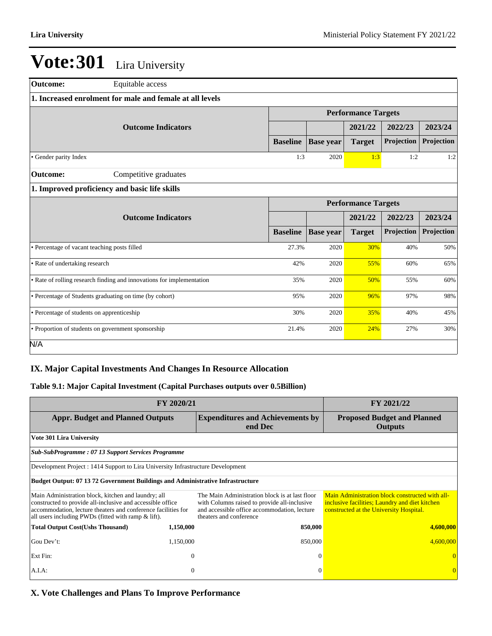| Outcome:                                                 | Equitable access                                                      |                 |                  |                            |            |            |  |  |  |
|----------------------------------------------------------|-----------------------------------------------------------------------|-----------------|------------------|----------------------------|------------|------------|--|--|--|
| 1. Increased enrolment for male and female at all levels |                                                                       |                 |                  |                            |            |            |  |  |  |
|                                                          |                                                                       |                 |                  | <b>Performance Targets</b> |            |            |  |  |  |
|                                                          | <b>Outcome Indicators</b>                                             |                 |                  | 2021/22                    | 2022/23    | 2023/24    |  |  |  |
|                                                          |                                                                       | <b>Baseline</b> | <b>Base year</b> | <b>Target</b>              | Projection | Projection |  |  |  |
| • Gender parity Index                                    |                                                                       | 1:3             | 2020             | 1:3                        | 1:2        | 1:2        |  |  |  |
| Outcome:                                                 | Competitive graduates                                                 |                 |                  |                            |            |            |  |  |  |
|                                                          | 1. Improved proficiency and basic life skills                         |                 |                  |                            |            |            |  |  |  |
|                                                          |                                                                       |                 |                  | <b>Performance Targets</b> |            |            |  |  |  |
|                                                          | <b>Outcome Indicators</b>                                             |                 |                  | 2021/22                    | 2022/23    | 2023/24    |  |  |  |
|                                                          |                                                                       | <b>Baseline</b> | <b>Base year</b> | <b>Target</b>              | Projection | Projection |  |  |  |
| • Percentage of vacant teaching posts filled             |                                                                       | 27.3%           | 2020             | 30%                        | 40%        | 50%        |  |  |  |
| • Rate of undertaking research                           |                                                                       | 42%             | 2020             | 55%                        | 60%        | 65%        |  |  |  |
|                                                          | • Rate of rolling research finding and innovations for implementation | 35%             | 2020             | 50%                        | 55%        | 60%        |  |  |  |
|                                                          | • Percentage of Students graduating on time (by cohort)               | 95%             | 2020             | 96%                        | 97%        | 98%        |  |  |  |
| • Percentage of students on apprenticeship               |                                                                       | 30%             | 2020             | 35%                        | 40%        | 45%        |  |  |  |
|                                                          | • Proportion of students on government sponsorship                    | 21.4%           | 2020             | 24%                        | 27%        | 30%        |  |  |  |
| N/A                                                      |                                                                       |                 |                  |                            |            |            |  |  |  |

## **IX. Major Capital Investments And Changes In Resource Allocation**

### **Table 9.1: Major Capital Investment (Capital Purchases outputs over 0.5Billion)**

| FY 2020/21                                                                                                                                                                                                                                | FY 2021/22     |                                                                                                                                                                           |                                                                                                                                              |
|-------------------------------------------------------------------------------------------------------------------------------------------------------------------------------------------------------------------------------------------|----------------|---------------------------------------------------------------------------------------------------------------------------------------------------------------------------|----------------------------------------------------------------------------------------------------------------------------------------------|
| <b>Appr. Budget and Planned Outputs</b>                                                                                                                                                                                                   |                | <b>Expenditures and Achievements by</b><br>end Dec                                                                                                                        | <b>Proposed Budget and Planned</b><br>Outputs                                                                                                |
| <b>Vote 301 Lira University</b>                                                                                                                                                                                                           |                |                                                                                                                                                                           |                                                                                                                                              |
| <b>Sub-SubProgramme: 07 13 Support Services Programme</b>                                                                                                                                                                                 |                |                                                                                                                                                                           |                                                                                                                                              |
| Development Project : 1414 Support to Lira University Infrastructure Development                                                                                                                                                          |                |                                                                                                                                                                           |                                                                                                                                              |
| <b>Budget Output: 07 13 72 Government Buildings and Administrative Infrastructure</b>                                                                                                                                                     |                |                                                                                                                                                                           |                                                                                                                                              |
| Main Administration block, kitchen and laundry; all<br>constructed to provide all-inclusive and accessible office<br>accommodation, lecture theaters and conference facilities for<br>all users including PWDs (fitted with ramp & lift). |                | The Main Administration block is at last floor<br>with Columns raised to provide all-inclusive<br>and accessible office accommodation, lecture<br>theaters and conference | Main Administration block constructed with all-<br>inclusive facilities; Laundry and diet kitchen<br>constructed at the University Hospital. |
| <b>Total Output Cost(Ushs Thousand)</b>                                                                                                                                                                                                   | 1,150,000      | 850,000                                                                                                                                                                   | 4,600,000                                                                                                                                    |
| Gou Dev't:                                                                                                                                                                                                                                | 1,150,000      | 850,000                                                                                                                                                                   | 4,600,000                                                                                                                                    |
| Ext Fin:                                                                                                                                                                                                                                  | $\theta$       | $\Omega$                                                                                                                                                                  |                                                                                                                                              |
| A.I.A:                                                                                                                                                                                                                                    | $\overline{0}$ | $\Omega$                                                                                                                                                                  |                                                                                                                                              |

**X. Vote Challenges and Plans To Improve Performance**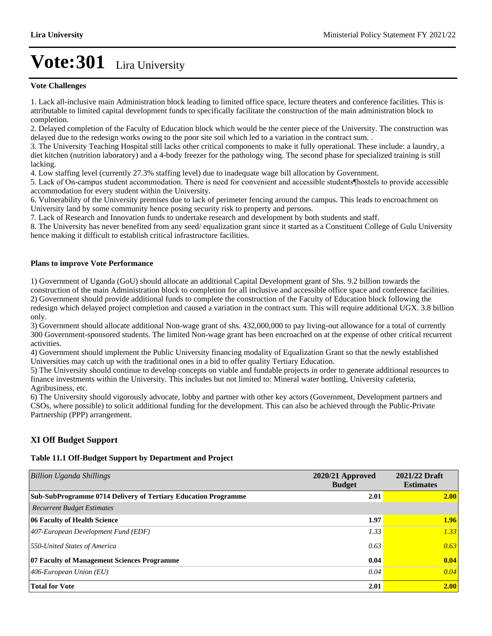#### **Vote Challenges**

1. Lack all-inclusive main Administration block leading to limited office space, lecture theaters and conference facilities. This is attributable to limited capital development funds to specifically facilitate the construction of the main administration block to completion.

2. Delayed completion of the Faculty of Education block which would be the center piece of the University. The construction was delayed due to the redesign works owing to the poor site soil which led to a variation in the contract sum. .

3. The University Teaching Hospital still lacks other critical components to make it fully operational. These include: a laundry, a diet kitchen (nutrition laboratory) and a 4-body freezer for the pathology wing. The second phase for specialized training is still lacking.

4. Low staffing level (currently 27.3% staffing level) due to inadequate wage bill allocation by Government.

5. Lack of On-campus student accommodation. There is need for convenient and accessible students thostels to provide accessible accommodation for every student within the University.

6. Vulnerability of the University premises due to lack of perimeter fencing around the campus. This leads to encroachment on University land by some community hence posing security risk to property and persons.

7. Lack of Research and Innovation funds to undertake research and development by both students and staff.

8. The University has never benefited from any seed/ equalization grant since it started as a Constituent College of Gulu University hence making it difficult to establish critical infrastructure facilities.

#### **Plans to improve Vote Performance**

1) Government of Uganda (GoU) should allocate an additional Capital Development grant of Shs. 9.2 billion towards the construction of the main Administration block to completion for all inclusive and accessible office space and conference facilities. 2) Government should provide additional funds to complete the construction of the Faculty of Education block following the redesign which delayed project completion and caused a variation in the contract sum. This will require additional UGX. 3.8 billion only.

3) Government should allocate additional Non-wage grant of shs. 432,000,000 to pay living-out allowance for a total of currently 300 Government-sponsored students. The limited Non-wage grant has been encroached on at the expense of other critical recurrent activities.

4) Government should implement the Public University financing modality of Equalization Grant so that the newly established Universities may catch up with the traditional ones in a bid to offer quality Tertiary Education.

5) The University should continue to develop concepts on viable and fundable projects in order to generate additional resources to finance investments within the University. This includes but not limited to: Mineral water bottling, University cafeteria, Agribusiness, etc.

6) The University should vigorously advocate, lobby and partner with other key actors (Government, Development partners and CSOs, where possible) to solicit additional funding for the development. This can also be achieved through the Public-Private Partnership (PPP) arrangement.

### **XI Off Budget Support**

#### **Table 11.1 Off-Budget Support by Department and Project**

| <b>Billion Uganda Shillings</b>                                       | $2020/21$ Approved<br><b>Budget</b> | 2021/22 Draft<br><b>Estimates</b> |
|-----------------------------------------------------------------------|-------------------------------------|-----------------------------------|
| <b>Sub-SubProgramme 0714 Delivery of Tertiary Education Programme</b> | 2.01                                | 2.00                              |
| <b>Recurrent Budget Estimates</b>                                     |                                     |                                   |
| 06 Faculty of Health Science                                          | 1.97                                | <b>1.96</b>                       |
| 407-European Development Fund (EDF)                                   | 1.33                                | 1.33                              |
| 550-United States of America                                          | 0.63                                | 0.63                              |
| 07 Faculty of Management Sciences Programme                           | 0.04                                | 0.04                              |
| 406-European Union $(EU)$                                             | 0.04                                | 0.04                              |
| <b>Total for Vote</b>                                                 | 2.01                                | 2.00                              |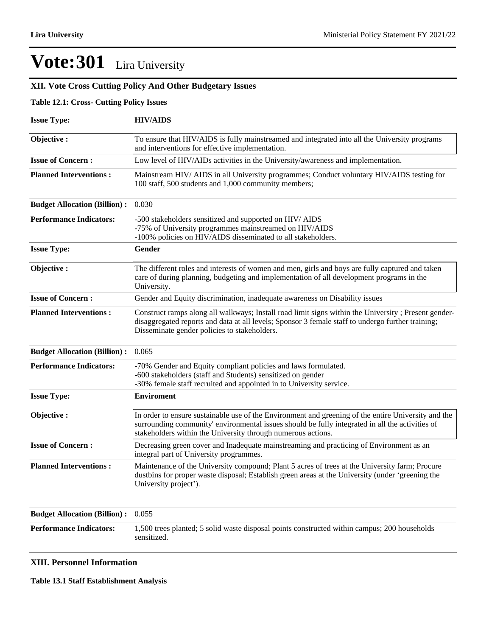## **XII. Vote Cross Cutting Policy And Other Budgetary Issues**

#### **Table 12.1: Cross- Cutting Policy Issues**

| <b>Issue Type:</b>                  | <b>HIV/AIDS</b>                                                                                                                                                                                                                                                        |
|-------------------------------------|------------------------------------------------------------------------------------------------------------------------------------------------------------------------------------------------------------------------------------------------------------------------|
| Objective:                          | To ensure that HIV/AIDS is fully mainstreamed and integrated into all the University programs<br>and interventions for effective implementation.                                                                                                                       |
| <b>Issue of Concern:</b>            | Low level of HIV/AIDs activities in the University/awareness and implementation.                                                                                                                                                                                       |
| <b>Planned Interventions:</b>       | Mainstream HIV/ AIDS in all University programmes; Conduct voluntary HIV/AIDS testing for<br>100 staff, 500 students and 1,000 community members;                                                                                                                      |
| <b>Budget Allocation (Billion):</b> | 0.030                                                                                                                                                                                                                                                                  |
| <b>Performance Indicators:</b>      | -500 stakeholders sensitized and supported on HIV/ AIDS<br>-75% of University programmes mainstreamed on HIV/AIDS<br>-100% policies on HIV/AIDS disseminated to all stakeholders.                                                                                      |
| <b>Issue Type:</b>                  | Gender                                                                                                                                                                                                                                                                 |
| Objective:                          | The different roles and interests of women and men, girls and boys are fully captured and taken<br>care of during planning, budgeting and implementation of all development programs in the<br>University.                                                             |
| <b>Issue of Concern:</b>            | Gender and Equity discrimination, inadequate awareness on Disability issues                                                                                                                                                                                            |
| <b>Planned Interventions:</b>       | Construct ramps along all walkways; Install road limit signs within the University; Present gender-<br>disaggregated reports and data at all levels; Sponsor 3 female staff to undergo further training;<br>Disseminate gender policies to stakeholders.               |
| <b>Budget Allocation (Billion):</b> | 0.065                                                                                                                                                                                                                                                                  |
| <b>Performance Indicators:</b>      | -70% Gender and Equity compliant policies and laws formulated.<br>-600 stakeholders (staff and Students) sensitized on gender<br>-30% female staff recruited and appointed in to University service.                                                                   |
| <b>Issue Type:</b>                  | <b>Enviroment</b>                                                                                                                                                                                                                                                      |
| Objective:                          | In order to ensure sustainable use of the Environment and greening of the entire University and the<br>surrounding community' environmental issues should be fully integrated in all the activities of<br>stakeholders within the University through numerous actions. |
| <b>Issue of Concern:</b>            | Decreasing green cover and Inadequate mainstreaming and practicing of Environment as an<br>integral part of University programmes.                                                                                                                                     |
| <b>Planned Interventions:</b>       | Maintenance of the University compound; Plant 5 acres of trees at the University farm; Procure<br>dustbins for proper waste disposal; Establish green areas at the University (under 'greening the<br>University project').                                            |
| <b>Budget Allocation (Billion):</b> | 0.055                                                                                                                                                                                                                                                                  |
| <b>Performance Indicators:</b>      | 1,500 trees planted; 5 solid waste disposal points constructed within campus; 200 households<br>sensitized.                                                                                                                                                            |

### **XIII. Personnel Information**

**Table 13.1 Staff Establishment Analysis**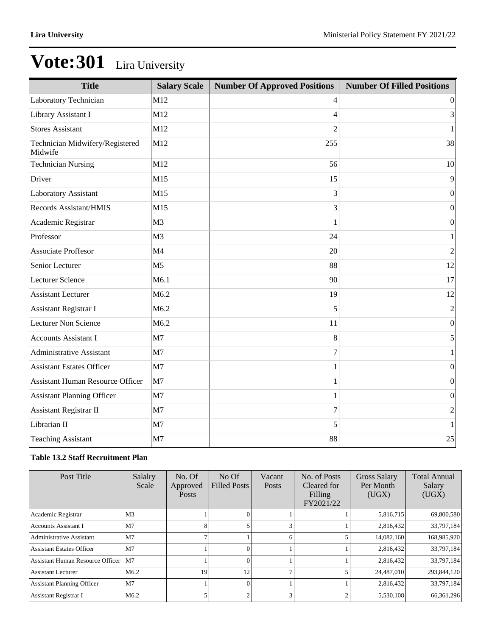| <b>Title</b>                               | <b>Salary Scale</b> | <b>Number Of Approved Positions</b> | <b>Number Of Filled Positions</b> |
|--------------------------------------------|---------------------|-------------------------------------|-----------------------------------|
| Laboratory Technician                      | M12                 | 4                                   | $\overline{0}$                    |
| Library Assistant I                        | M12                 | 4                                   | 3                                 |
| <b>Stores Assistant</b>                    | M12                 | 2                                   | 1                                 |
| Technician Midwifery/Registered<br>Midwife | M12                 | 255                                 | 38                                |
| <b>Technician Nursing</b>                  | M12                 | 56                                  | 10                                |
| Driver                                     | M15                 | 15                                  | 9                                 |
| Laboratory Assistant                       | M15                 | 3                                   | $\theta$                          |
| Records Assistant/HMIS                     | M15                 | 3                                   | $\boldsymbol{0}$                  |
| Academic Registrar                         | M <sub>3</sub>      | 1                                   | 0                                 |
| Professor                                  | M <sub>3</sub>      | 24                                  | $\mathbf{1}$                      |
| <b>Associate Proffesor</b>                 | M <sub>4</sub>      | 20                                  | $\overline{2}$                    |
| Senior Lecturer                            | M <sub>5</sub>      | 88                                  | 12                                |
| <b>Lecturer Science</b>                    | M6.1                | 90                                  | 17                                |
| <b>Assistant Lecturer</b>                  | M6.2                | 19                                  | 12                                |
| <b>Assistant Registrar I</b>               | M6.2                | 5                                   | 2                                 |
| Lecturer Non Science                       | M6.2                | 11                                  | $\boldsymbol{0}$                  |
| <b>Accounts Assistant I</b>                | M <sub>7</sub>      | 8                                   | 5                                 |
| <b>Administrative Assistant</b>            | M <sub>7</sub>      | 7                                   | 1                                 |
| <b>Assistant Estates Officer</b>           | M7                  |                                     | $\boldsymbol{0}$                  |
| <b>Assistant Human Resource Officer</b>    | M7                  |                                     | $\boldsymbol{0}$                  |
| <b>Assistant Planning Officer</b>          | M7                  | 1                                   | $\boldsymbol{0}$                  |
| Assistant Registrar II                     | M <sub>7</sub>      | 7                                   | $\overline{c}$                    |
| Librarian II                               | M <sub>7</sub>      | 5                                   | 1                                 |
| <b>Teaching Assistant</b>                  | M7                  | 88                                  | 25                                |

### **Table 13.2 Staff Recruitment Plan**

| Post Title                              | Salalry<br>Scale | No. Of<br>Approved<br><b>Posts</b> | $No$ Of<br><b>Filled Posts</b> | Vacant<br>Posts | No. of Posts<br>Cleared for<br>Filling<br>FY2021/22 | Gross Salary<br>Per Month<br>(UGX) | <b>Total Annual</b><br>Salary<br>(UGX) |
|-----------------------------------------|------------------|------------------------------------|--------------------------------|-----------------|-----------------------------------------------------|------------------------------------|----------------------------------------|
| Academic Registrar                      | M <sub>3</sub>   |                                    |                                |                 |                                                     | 5,816,715                          | 69,800,580                             |
| <b>Accounts Assistant I</b>             | M <sub>7</sub>   | 8                                  |                                |                 |                                                     | 2,816,432                          | 33,797,184                             |
| <b>Administrative Assistant</b>         | M <sub>7</sub>   | 7                                  |                                | 6               |                                                     | 14,082,160                         | 168,985,920                            |
| <b>Assistant Estates Officer</b>        | M <sub>7</sub>   |                                    |                                |                 |                                                     | 2,816,432                          | 33,797,184                             |
| <b>Assistant Human Resource Officer</b> | M7               |                                    |                                |                 |                                                     | 2,816,432                          | 33,797,184                             |
| <b>Assistant Lecturer</b>               | M <sub>6.2</sub> | 19                                 | 12                             |                 |                                                     | 24,487,010                         | 293,844,120                            |
| <b>Assistant Planning Officer</b>       | M <sub>7</sub>   |                                    | $\Omega$                       |                 |                                                     | 2,816,432                          | 33,797,184                             |
| <b>Assistant Registrar I</b>            | M <sub>6.2</sub> |                                    |                                | 3               |                                                     | 5,530,108                          | 66, 361, 296                           |